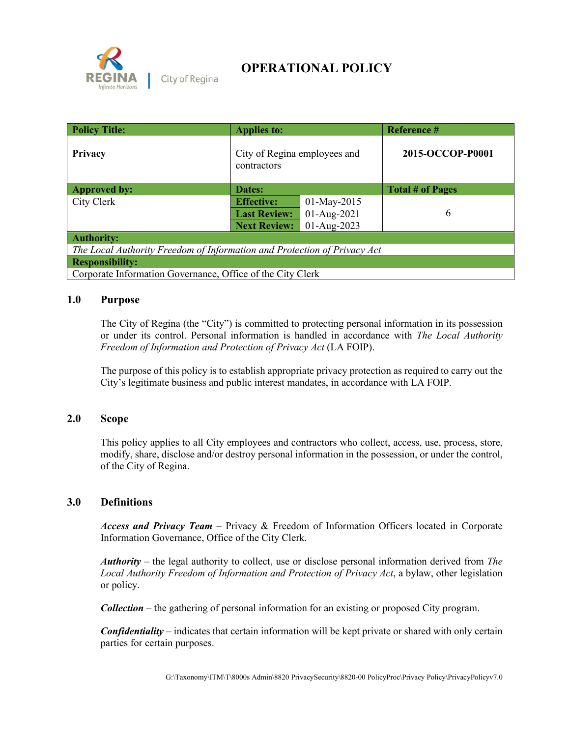

**OPERATIONAL POLICY**

| <b>Policy Title:</b>                                                     | <b>Applies to:</b>                          |             | Reference #             |  |  |
|--------------------------------------------------------------------------|---------------------------------------------|-------------|-------------------------|--|--|
| Privacy                                                                  | City of Regina employees and<br>contractors |             | 2015-OCCOP-P0001        |  |  |
| <b>Approved by:</b>                                                      | Dates:                                      |             | <b>Total # of Pages</b> |  |  |
| City Clerk                                                               | <b>Effective:</b>                           | 01-May-2015 |                         |  |  |
|                                                                          | <b>Last Review:</b>                         | 01-Aug-2021 | 6                       |  |  |
|                                                                          | <b>Next Review:</b>                         | 01-Aug-2023 |                         |  |  |
| <b>Authority:</b>                                                        |                                             |             |                         |  |  |
| The Local Authority Freedom of Information and Protection of Privacy Act |                                             |             |                         |  |  |
| <b>Responsibility:</b>                                                   |                                             |             |                         |  |  |
| Corporate Information Governance, Office of the City Clerk               |                                             |             |                         |  |  |

## **1.0 Purpose**

The City of Regina (the "City") is committed to protecting personal information in its possession or under its control. Personal information is handled in accordance with *The Local Authority Freedom of Information and Protection of Privacy Act* (LA FOIP).

The purpose of this policy is to establish appropriate privacy protection as required to carry out the City's legitimate business and public interest mandates, in accordance with LA FOIP.

## **2.0 Scope**

This policy applies to all City employees and contractors who collect, access, use, process, store, modify, share, disclose and/or destroy personal information in the possession, or under the control, of the City of Regina.

## **3.0 Definitions**

*Access and Privacy Team* **–** Privacy & Freedom of Information Officers located in Corporate Information Governance, Office of the City Clerk.

*Authority* – the legal authority to collect, use or disclose personal information derived from *The Local Authority Freedom of Information and Protection of Privacy Act*, a bylaw, other legislation or policy.

*Collection* – the gathering of personal information for an existing or proposed City program.

*Confidentiality* – indicates that certain information will be kept private or shared with only certain parties for certain purposes.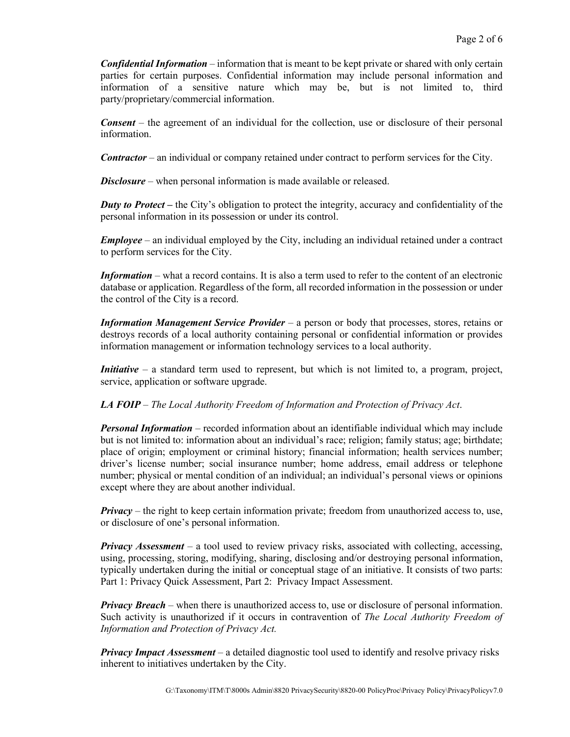*Confidential Information* – information that is meant to be kept private or shared with only certain parties for certain purposes. Confidential information may include personal information and information of a sensitive nature which may be, but is not limited to, third party/proprietary/commercial information.

*Consent* – the agreement of an individual for the collection, use or disclosure of their personal information.

*Contractor* – an individual or company retained under contract to perform services for the City.

*Disclosure* – when personal information is made available or released.

*Duty to Protect* – the City's obligation to protect the integrity, accuracy and confidentiality of the personal information in its possession or under its control.

*Employee* – an individual employed by the City, including an individual retained under a contract to perform services for the City.

*Information* – what a record contains. It is also a term used to refer to the content of an electronic database or application. Regardless of the form, all recorded information in the possession or under the control of the City is a record.

*Information Management Service Provider* – a person or body that processes, stores, retains or destroys records of a local authority containing personal or confidential information or provides information management or information technology services to a local authority.

*Initiative* – a standard term used to represent, but which is not limited to, a program, project, service, application or software upgrade.

## *LA FOIP* – *The Local Authority Freedom of Information and Protection of Privacy Act*.

*Personal Information* – recorded information about an identifiable individual which may include but is not limited to: information about an individual's race; religion; family status; age; birthdate; place of origin; employment or criminal history; financial information; health services number; driver's license number; social insurance number; home address, email address or telephone number; physical or mental condition of an individual; an individual's personal views or opinions except where they are about another individual.

*Privacy* – the right to keep certain information private; freedom from unauthorized access to, use, or disclosure of one's personal information.

*Privacy Assessment* – a tool used to review privacy risks, associated with collecting, accessing, using, processing, storing, modifying, sharing, disclosing and/or destroying personal information, typically undertaken during the initial or conceptual stage of an initiative. It consists of two parts: Part 1: Privacy Quick Assessment, Part 2: Privacy Impact Assessment.

*Privacy Breach* – when there is unauthorized access to, use or disclosure of personal information. Such activity is unauthorized if it occurs in contravention of *The Local Authority Freedom of Information and Protection of Privacy Act.*

*Privacy Impact Assessment* – a detailed diagnostic tool used to identify and resolve privacy risks inherent to initiatives undertaken by the City.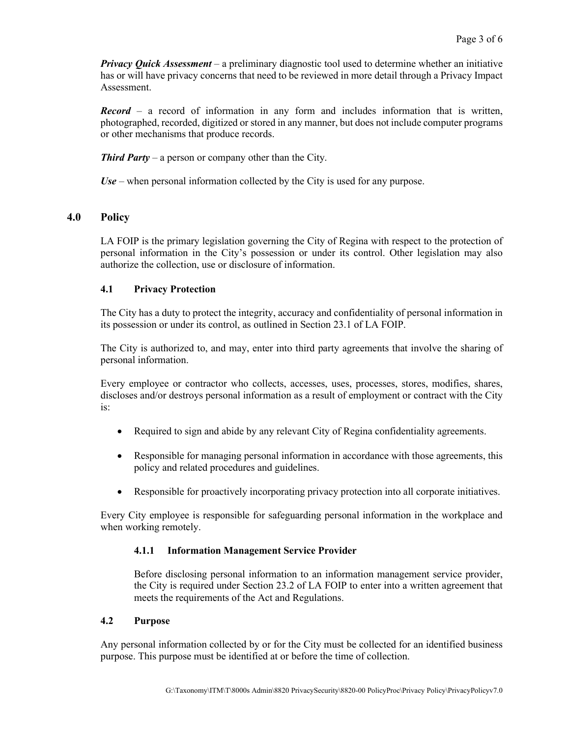*Privacy Quick Assessment* – a preliminary diagnostic tool used to determine whether an initiative has or will have privacy concerns that need to be reviewed in more detail through a Privacy Impact Assessment.

*Record* – a record of information in any form and includes information that is written, photographed, recorded, digitized or stored in any manner, but does not include computer programs or other mechanisms that produce records.

*Third Party* – a person or company other than the City.

*Use* – when personal information collected by the City is used for any purpose.

## **4.0 Policy**

LA FOIP is the primary legislation governing the City of Regina with respect to the protection of personal information in the City's possession or under its control. Other legislation may also authorize the collection, use or disclosure of information.

## **4.1 Privacy Protection**

The City has a duty to protect the integrity, accuracy and confidentiality of personal information in its possession or under its control, as outlined in Section 23.1 of LA FOIP.

The City is authorized to, and may, enter into third party agreements that involve the sharing of personal information.

Every employee or contractor who collects, accesses, uses, processes, stores, modifies, shares, discloses and/or destroys personal information as a result of employment or contract with the City is:

- Required to sign and abide by any relevant City of Regina confidentiality agreements.
- Responsible for managing personal information in accordance with those agreements, this policy and related procedures and guidelines.
- Responsible for proactively incorporating privacy protection into all corporate initiatives.

Every City employee is responsible for safeguarding personal information in the workplace and when working remotely.

## **4.1.1 Information Management Service Provider**

Before disclosing personal information to an information management service provider, the City is required under Section 23.2 of LA FOIP to enter into a written agreement that meets the requirements of the Act and Regulations.

#### **4.2 Purpose**

Any personal information collected by or for the City must be collected for an identified business purpose. This purpose must be identified at or before the time of collection.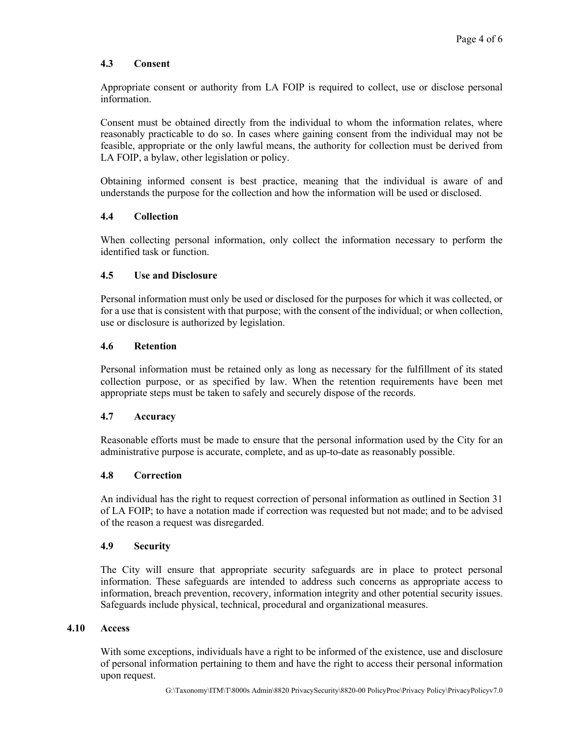## **4.3 Consent**

Appropriate consent or authority from LA FOIP is required to collect, use or disclose personal information.

Consent must be obtained directly from the individual to whom the information relates, where reasonably practicable to do so. In cases where gaining consent from the individual may not be feasible, appropriate or the only lawful means, the authority for collection must be derived from LA FOIP, a bylaw, other legislation or policy.

Obtaining informed consent is best practice, meaning that the individual is aware of and understands the purpose for the collection and how the information will be used or disclosed.

## **4.4 Collection**

When collecting personal information, only collect the information necessary to perform the identified task or function.

#### **4.5 Use and Disclosure**

Personal information must only be used or disclosed for the purposes for which it was collected, or for a use that is consistent with that purpose; with the consent of the individual; or when collection, use or disclosure is authorized by legislation.

#### **4.6 Retention**

Personal information must be retained only as long as necessary for the fulfillment of its stated collection purpose, or as specified by law. When the retention requirements have been met appropriate steps must be taken to safely and securely dispose of the records.

#### **4.7 Accuracy**

Reasonable efforts must be made to ensure that the personal information used by the City for an administrative purpose is accurate, complete, and as up-to-date as reasonably possible.

## **4.8 Correction**

An individual has the right to request correction of personal information as outlined in Section 31 of LA FOIP; to have a notation made if correction was requested but not made; and to be advised of the reason a request was disregarded.

#### **4.9 Security**

The City will ensure that appropriate security safeguards are in place to protect personal information. These safeguards are intended to address such concerns as appropriate access to information, breach prevention, recovery, information integrity and other potential security issues. Safeguards include physical, technical, procedural and organizational measures.

#### **4.10 Access**

With some exceptions, individuals have a right to be informed of the existence, use and disclosure of personal information pertaining to them and have the right to access their personal information upon request.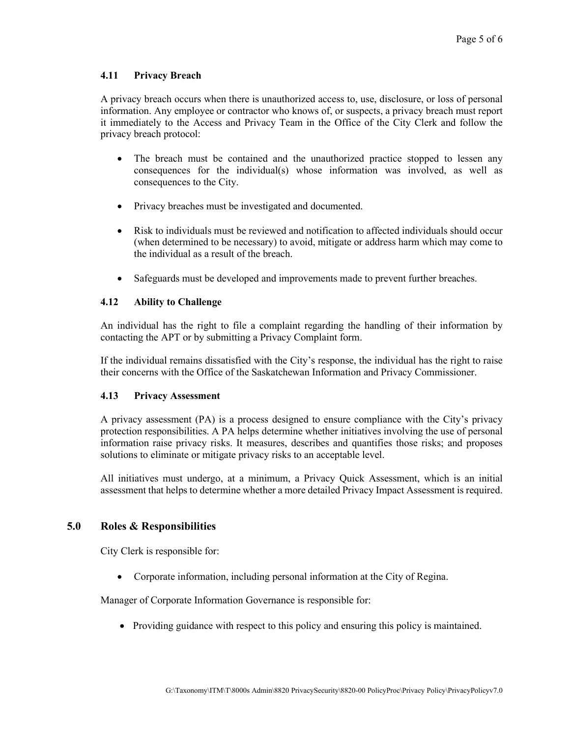## **4.11 Privacy Breach**

A privacy breach occurs when there is unauthorized access to, use, disclosure, or loss of personal information. Any employee or contractor who knows of, or suspects, a privacy breach must report it immediately to the Access and Privacy Team in the Office of the City Clerk and follow the privacy breach protocol:

- The breach must be contained and the unauthorized practice stopped to lessen any consequences for the individual(s) whose information was involved, as well as consequences to the City.
- Privacy breaches must be investigated and documented.
- Risk to individuals must be reviewed and notification to affected individuals should occur (when determined to be necessary) to avoid, mitigate or address harm which may come to the individual as a result of the breach.
- Safeguards must be developed and improvements made to prevent further breaches.

## **4.12 Ability to Challenge**

An individual has the right to file a complaint regarding the handling of their information by contacting the APT or by submitting a Privacy Complaint form.

If the individual remains dissatisfied with the City's response, the individual has the right to raise their concerns with the Office of the Saskatchewan Information and Privacy Commissioner.

## **4.13 Privacy Assessment**

A privacy assessment (PA) is a process designed to ensure compliance with the City's privacy protection responsibilities. A PA helps determine whether initiatives involving the use of personal information raise privacy risks. It measures, describes and quantifies those risks; and proposes solutions to eliminate or mitigate privacy risks to an acceptable level.

All initiatives must undergo, at a minimum, a Privacy Quick Assessment, which is an initial assessment that helps to determine whether a more detailed Privacy Impact Assessment is required.

# **5.0 Roles & Responsibilities**

City Clerk is responsible for:

• Corporate information, including personal information at the City of Regina.

Manager of Corporate Information Governance is responsible for:

• Providing guidance with respect to this policy and ensuring this policy is maintained.